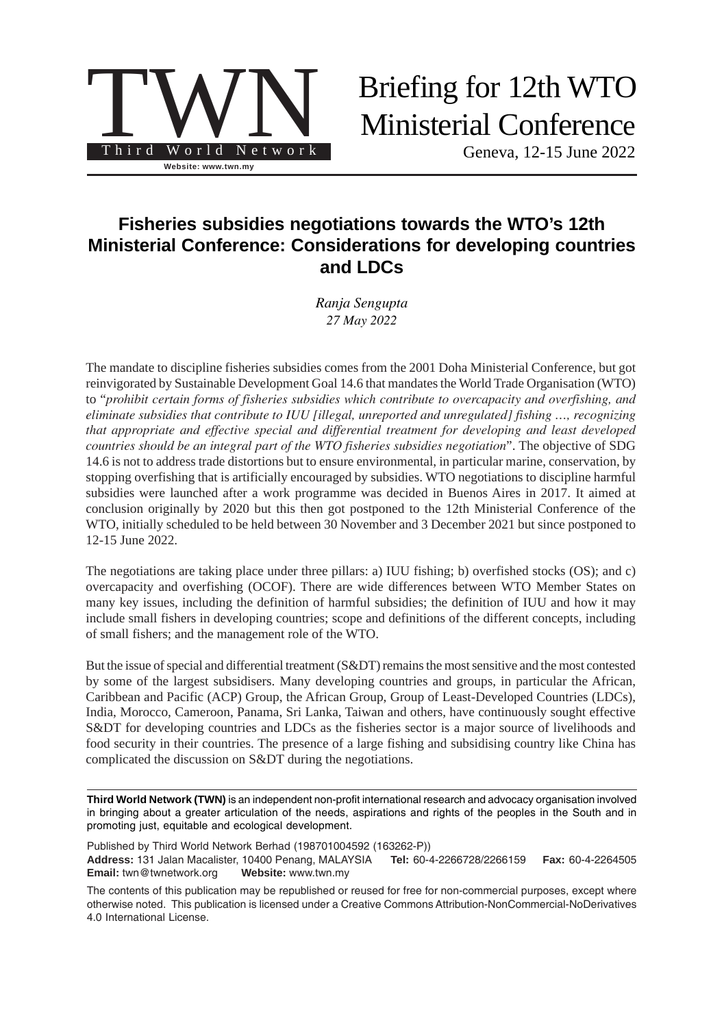

# Briefing for 12th WTO Ministerial Conference

Geneva, 12-15 June 2022

# **Fisheries subsidies negotiations towards the WTO's 12th Ministerial Conference: Considerations for developing countries and LDCs**

*Ranja Sengupta 27 May 2022*

The mandate to discipline fisheries subsidies comes from the 2001 Doha Ministerial Conference, but got reinvigorated by Sustainable Development Goal 14.6 that mandates the World Trade Organisation (WTO) to "*prohibit certain forms of fisheries subsidies which contribute to overcapacity and overfishing, and eliminate subsidies that contribute to IUU [illegal, unreported and unregulated] fishing …, recognizing that appropriate and effective special and differential treatment for developing and least developed countries should be an integral part of the WTO fisheries subsidies negotiation*". The objective of SDG 14.6 is not to address trade distortions but to ensure environmental, in particular marine, conservation, by stopping overfishing that is artificially encouraged by subsidies. WTO negotiations to discipline harmful subsidies were launched after a work programme was decided in Buenos Aires in 2017. It aimed at conclusion originally by 2020 but this then got postponed to the 12th Ministerial Conference of the WTO, initially scheduled to be held between 30 November and 3 December 2021 but since postponed to 12-15 June 2022.

The negotiations are taking place under three pillars: a) IUU fishing; b) overfished stocks (OS); and c) overcapacity and overfishing (OCOF). There are wide differences between WTO Member States on many key issues, including the definition of harmful subsidies; the definition of IUU and how it may include small fishers in developing countries; scope and definitions of the different concepts, including of small fishers; and the management role of the WTO.

But the issue of special and differential treatment (S&DT) remains the most sensitive and the most contested by some of the largest subsidisers. Many developing countries and groups, in particular the African, Caribbean and Pacific (ACP) Group, the African Group, Group of Least-Developed Countries (LDCs), India, Morocco, Cameroon, Panama, Sri Lanka, Taiwan and others, have continuously sought effective S&DT for developing countries and LDCs as the fisheries sector is a major source of livelihoods and food security in their countries. The presence of a large fishing and subsidising country like China has complicated the discussion on S&DT during the negotiations.

**Third World Network (TWN)** is an independent non-profit international research and advocacy organisation involved in bringing about a greater articulation of the needs, aspirations and rights of the peoples in the South and in promoting just, equitable and ecological development.

Published by Third World Network Berhad (198701004592 (163262-P)) **Address:** 131 Jalan Macalister, 10400 Penang, MALAYSIA **Tel:** 60-4-2266728/2266159 **Fax:** 60-4-2264505 **Email:** twn@twnetwork.org **Website:** www.twn.my

The contents of this publication may be republished or reused for free for non-commercial purposes, except where otherwise noted. This publication is licensed under a [Creative Commons Attribution-NonCommercial-NoDerivatives](https://creativecommons.org/licenses/by-nc-nd/4.0/) [4.0 International License.](https://creativecommons.org/licenses/by-nc-nd/4.0/)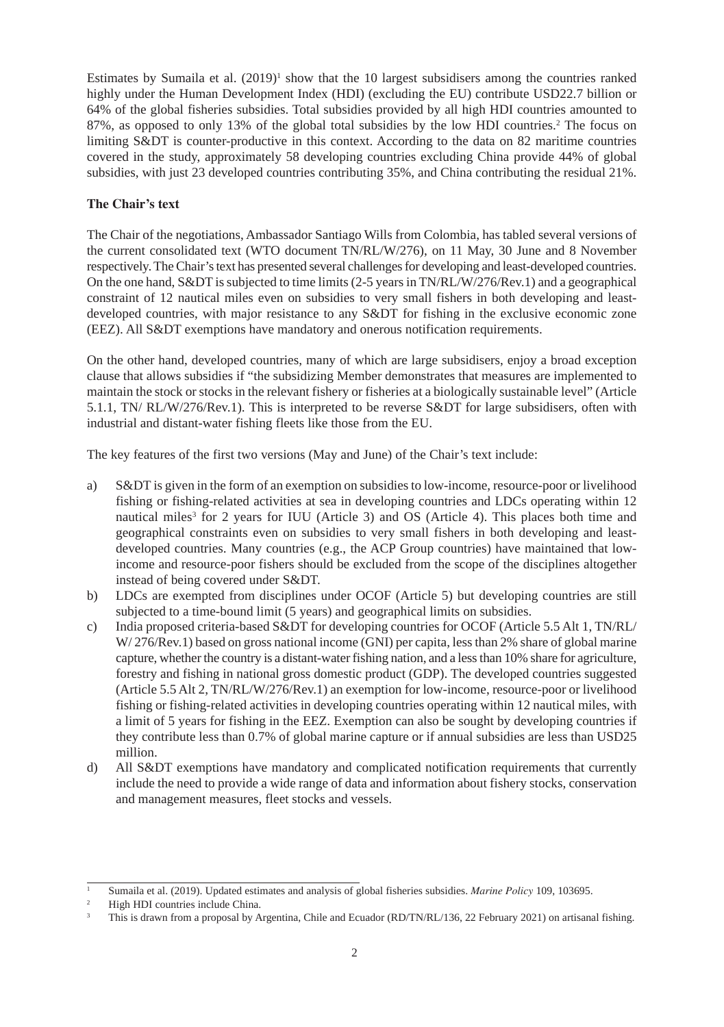Estimates by Sumaila et al. (2019)<sup>1</sup> show that the 10 largest subsidisers among the countries ranked highly under the Human Development Index (HDI) (excluding the EU) contribute USD22.7 billion or 64% of the global fisheries subsidies. Total subsidies provided by all high HDI countries amounted to 87%, as opposed to only 13% of the global total subsidies by the low HDI countries.<sup>2</sup> The focus on limiting S&DT is counter-productive in this context. According to the data on 82 maritime countries covered in the study, approximately 58 developing countries excluding China provide 44% of global subsidies, with just 23 developed countries contributing 35%, and China contributing the residual 21%.

### **The Chair's text**

The Chair of the negotiations, Ambassador Santiago Wills from Colombia, has tabled several versions of the current consolidated text (WTO document TN/RL/W/276), on 11 May, 30 June and 8 November respectively. The Chair's text has presented several challenges for developing and least-developed countries. On the one hand, S&DT is subjected to time limits (2-5 years in TN/RL/W/276/Rev.1) and a geographical constraint of 12 nautical miles even on subsidies to very small fishers in both developing and leastdeveloped countries, with major resistance to any S&DT for fishing in the exclusive economic zone (EEZ). All S&DT exemptions have mandatory and onerous notification requirements.

On the other hand, developed countries, many of which are large subsidisers, enjoy a broad exception clause that allows subsidies if "the subsidizing Member demonstrates that measures are implemented to maintain the stock or stocks in the relevant fishery or fisheries at a biologically sustainable level" (Article 5.1.1, TN/ RL/W/276/Rev.1). This is interpreted to be reverse S&DT for large subsidisers, often with industrial and distant-water fishing fleets like those from the EU.

The key features of the first two versions (May and June) of the Chair's text include:

- a) S&DT is given in the form of an exemption on subsidies to low-income, resource-poor or livelihood fishing or fishing-related activities at sea in developing countries and LDCs operating within 12 nautical miles<sup>3</sup> for 2 years for IUU (Article 3) and OS (Article 4). This places both time and geographical constraints even on subsidies to very small fishers in both developing and leastdeveloped countries. Many countries (e.g., the ACP Group countries) have maintained that lowincome and resource-poor fishers should be excluded from the scope of the disciplines altogether instead of being covered under S&DT.
- b) LDCs are exempted from disciplines under OCOF (Article 5) but developing countries are still subjected to a time-bound limit (5 years) and geographical limits on subsidies.
- c) India proposed criteria-based S&DT for developing countries for OCOF (Article 5.5 Alt 1, TN/RL/ W/ 276/Rev.1) based on gross national income (GNI) per capita, less than 2% share of global marine capture, whether the country is a distant-water fishing nation, and a less than 10% share for agriculture, forestry and fishing in national gross domestic product (GDP). The developed countries suggested (Article 5.5 Alt 2, TN/RL/W/276/Rev.1) an exemption for low-income, resource-poor or livelihood fishing or fishing-related activities in developing countries operating within 12 nautical miles, with a limit of 5 years for fishing in the EEZ. Exemption can also be sought by developing countries if they contribute less than 0.7% of global marine capture or if annual subsidies are less than USD25 million.
- d) All S&DT exemptions have mandatory and complicated notification requirements that currently include the need to provide a wide range of data and information about fishery stocks, conservation and management measures, fleet stocks and vessels.

<sup>&</sup>lt;sup>1</sup> Sumaila et al. (2019). Updated estimates and analysis of global fisheries subsidies. *Marine Policy* 109, 103695.

<sup>2</sup> High HDI countries include China.

This is drawn from a proposal by Argentina, Chile and Ecuador (RD/TN/RL/136, 22 February 2021) on artisanal fishing.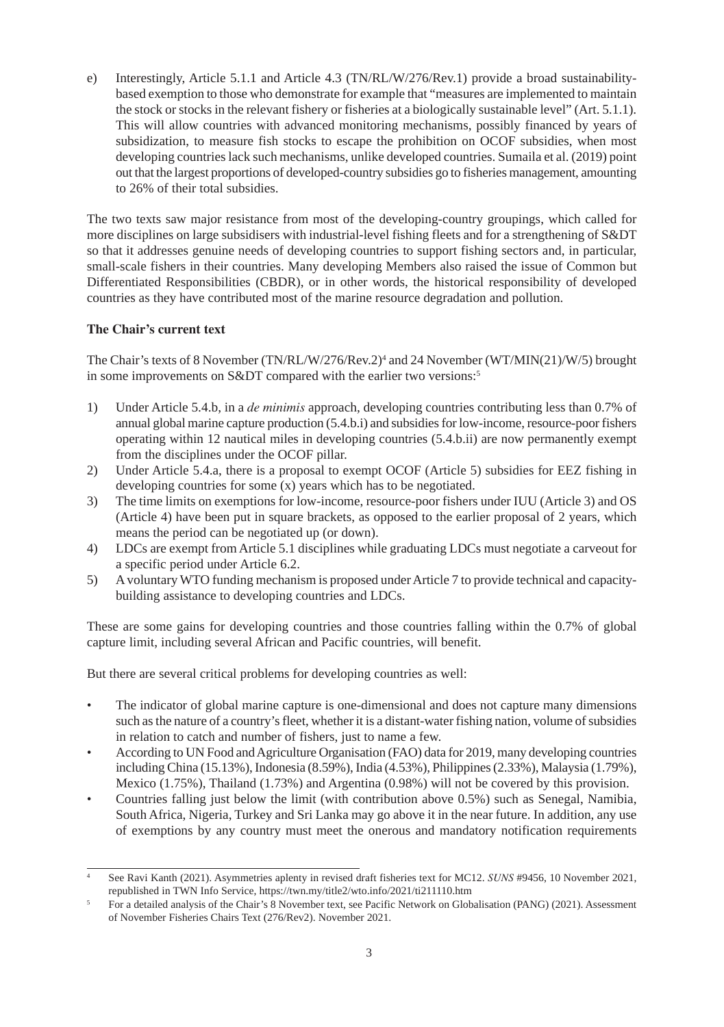e) Interestingly, Article 5.1.1 and Article 4.3 (TN/RL/W/276/Rev.1) provide a broad sustainabilitybased exemption to those who demonstrate for example that "measures are implemented to maintain the stock or stocks in the relevant fishery or fisheries at a biologically sustainable level" (Art. 5.1.1). This will allow countries with advanced monitoring mechanisms, possibly financed by years of subsidization, to measure fish stocks to escape the prohibition on OCOF subsidies, when most developing countries lack such mechanisms, unlike developed countries. Sumaila et al. (2019) point out that the largest proportions of developed-country subsidies go to fisheries management, amounting to 26% of their total subsidies.

The two texts saw major resistance from most of the developing-country groupings, which called for more disciplines on large subsidisers with industrial-level fishing fleets and for a strengthening of S&DT so that it addresses genuine needs of developing countries to support fishing sectors and, in particular, small-scale fishers in their countries. Many developing Members also raised the issue of Common but Differentiated Responsibilities (CBDR), or in other words, the historical responsibility of developed countries as they have contributed most of the marine resource degradation and pollution.

#### **The Chair's current text**

The Chair's texts of 8 November (TN/RL/W/276/Rev.2)4 and 24 November (WT/MIN(21)/W/5) brought in some improvements on S&DT compared with the earlier two versions:<sup>5</sup>

- 1) Under Article 5.4.b, in a *de minimis* approach, developing countries contributing less than 0.7% of annual global marine capture production (5.4.b.i) and subsidies for low-income, resource-poor fishers operating within 12 nautical miles in developing countries (5.4.b.ii) are now permanently exempt from the disciplines under the OCOF pillar.
- 2) Under Article 5.4.a, there is a proposal to exempt OCOF (Article 5) subsidies for EEZ fishing in developing countries for some (x) years which has to be negotiated.
- 3) The time limits on exemptions for low-income, resource-poor fishers under IUU (Article 3) and OS (Article 4) have been put in square brackets, as opposed to the earlier proposal of 2 years, which means the period can be negotiated up (or down).
- 4) LDCs are exempt from Article 5.1 disciplines while graduating LDCs must negotiate a carveout for a specific period under Article 6.2.
- 5) A voluntary WTO funding mechanism is proposed under Article 7 to provide technical and capacitybuilding assistance to developing countries and LDCs.

These are some gains for developing countries and those countries falling within the 0.7% of global capture limit, including several African and Pacific countries, will benefit.

But there are several critical problems for developing countries as well:

- The indicator of global marine capture is one-dimensional and does not capture many dimensions such as the nature of a country's fleet, whether it is a distant-water fishing nation, volume of subsidies in relation to catch and number of fishers, just to name a few.
- According to UN Food and Agriculture Organisation (FAO) data for 2019, many developing countries including China (15.13%), Indonesia (8.59%), India (4.53%), Philippines (2.33%), Malaysia (1.79%), Mexico (1.75%), Thailand (1.73%) and Argentina (0.98%) will not be covered by this provision.
- Countries falling just below the limit (with contribution above 0.5%) such as Senegal, Namibia, South Africa, Nigeria, Turkey and Sri Lanka may go above it in the near future. In addition, any use of exemptions by any country must meet the onerous and mandatory notification requirements

<sup>4</sup> See Ravi Kanth (2021). Asymmetries aplenty in revised draft fisheries text for MC12. *SUNS* #9456, 10 November 2021, republished in TWN Info Service, https://twn.my/title2/wto.info/2021/ti211110.htm

<sup>5</sup> For a detailed analysis of the Chair's 8 November text, see Pacific Network on Globalisation (PANG) (2021). Assessment of November Fisheries Chairs Text (276/Rev2). November 2021.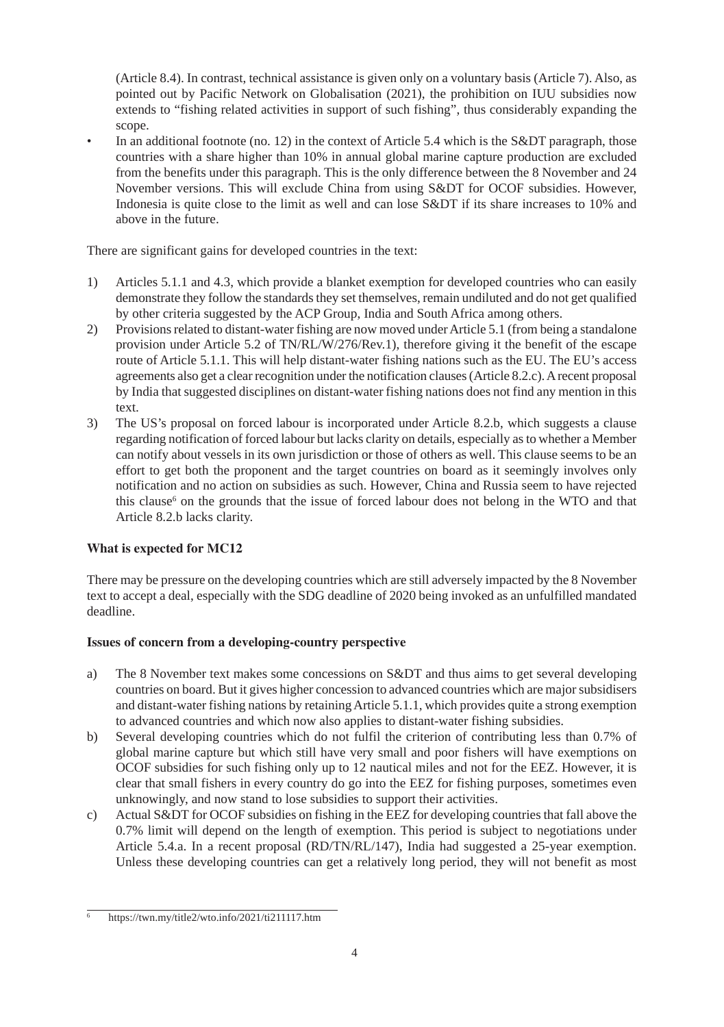(Article 8.4). In contrast, technical assistance is given only on a voluntary basis (Article 7). Also, as pointed out by Pacific Network on Globalisation (2021), the prohibition on IUU subsidies now extends to "fishing related activities in support of such fishing", thus considerably expanding the scope.

In an additional footnote (no. 12) in the context of Article 5.4 which is the S&DT paragraph, those countries with a share higher than 10% in annual global marine capture production are excluded from the benefits under this paragraph. This is the only difference between the 8 November and 24 November versions. This will exclude China from using S&DT for OCOF subsidies. However, Indonesia is quite close to the limit as well and can lose S&DT if its share increases to 10% and above in the future.

There are significant gains for developed countries in the text:

- 1) Articles 5.1.1 and 4.3, which provide a blanket exemption for developed countries who can easily demonstrate they follow the standards they set themselves, remain undiluted and do not get qualified by other criteria suggested by the ACP Group, India and South Africa among others.
- 2) Provisions related to distant-water fishing are now moved under Article 5.1 (from being a standalone provision under Article 5.2 of TN/RL/W/276/Rev.1), therefore giving it the benefit of the escape route of Article 5.1.1. This will help distant-water fishing nations such as the EU. The EU's access agreements also get a clear recognition under the notification clauses (Article 8.2.c). A recent proposal by India that suggested disciplines on distant-water fishing nations does not find any mention in this text.
- 3) The US's proposal on forced labour is incorporated under Article 8.2.b, which suggests a clause regarding notification of forced labour but lacks clarity on details, especially as to whether a Member can notify about vessels in its own jurisdiction or those of others as well. This clause seems to be an effort to get both the proponent and the target countries on board as it seemingly involves only notification and no action on subsidies as such. However, China and Russia seem to have rejected this clause<sup>6</sup> on the grounds that the issue of forced labour does not belong in the WTO and that Article 8.2.b lacks clarity.

# **What is expected for MC12**

There may be pressure on the developing countries which are still adversely impacted by the 8 November text to accept a deal, especially with the SDG deadline of 2020 being invoked as an unfulfilled mandated deadline.

# **Issues of concern from a developing-country perspective**

- a) The 8 November text makes some concessions on S&DT and thus aims to get several developing countries on board. But it gives higher concession to advanced countries which are major subsidisers and distant-water fishing nations by retaining Article 5.1.1, which provides quite a strong exemption to advanced countries and which now also applies to distant-water fishing subsidies.
- b) Several developing countries which do not fulfil the criterion of contributing less than 0.7% of global marine capture but which still have very small and poor fishers will have exemptions on OCOF subsidies for such fishing only up to 12 nautical miles and not for the EEZ. However, it is clear that small fishers in every country do go into the EEZ for fishing purposes, sometimes even unknowingly, and now stand to lose subsidies to support their activities.
- c) Actual S&DT for OCOF subsidies on fishing in the EEZ for developing countries that fall above the 0.7% limit will depend on the length of exemption. This period is subject to negotiations under Article 5.4.a. In a recent proposal (RD/TN/RL/147), India had suggested a 25-year exemption. Unless these developing countries can get a relatively long period, they will not benefit as most

<sup>6</sup> https://twn.my/title2/wto.info/2021/ti211117.htm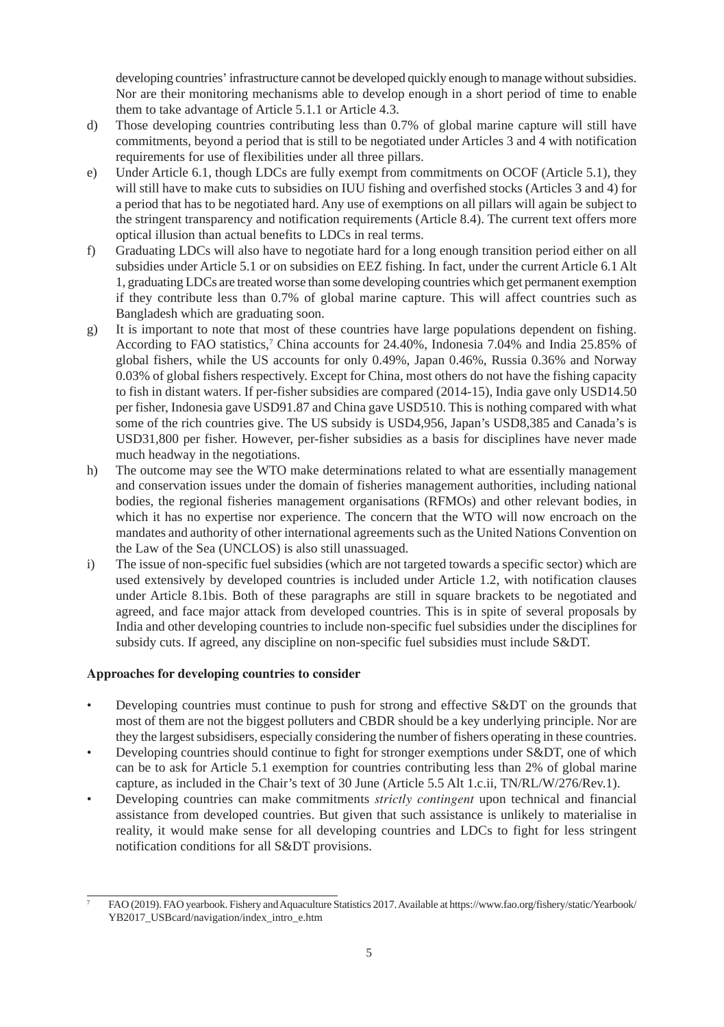developing countries' infrastructure cannot be developed quickly enough to manage without subsidies. Nor are their monitoring mechanisms able to develop enough in a short period of time to enable them to take advantage of Article 5.1.1 or Article 4.3.

- d) Those developing countries contributing less than 0.7% of global marine capture will still have commitments, beyond a period that is still to be negotiated under Articles 3 and 4 with notification requirements for use of flexibilities under all three pillars.
- e) Under Article 6.1, though LDCs are fully exempt from commitments on OCOF (Article 5.1), they will still have to make cuts to subsidies on IUU fishing and overfished stocks (Articles 3 and 4) for a period that has to be negotiated hard. Any use of exemptions on all pillars will again be subject to the stringent transparency and notification requirements (Article 8.4). The current text offers more optical illusion than actual benefits to LDCs in real terms.
- f) Graduating LDCs will also have to negotiate hard for a long enough transition period either on all subsidies under Article 5.1 or on subsidies on EEZ fishing. In fact, under the current Article 6.1 Alt 1, graduating LDCs are treated worse than some developing countries which get permanent exemption if they contribute less than 0.7% of global marine capture. This will affect countries such as Bangladesh which are graduating soon.
- g) It is important to note that most of these countries have large populations dependent on fishing. According to FAO statistics,<sup>7</sup> China accounts for 24.40%, Indonesia 7.04% and India 25.85% of global fishers, while the US accounts for only 0.49%, Japan 0.46%, Russia 0.36% and Norway 0.03% of global fishers respectively. Except for China, most others do not have the fishing capacity to fish in distant waters. If per-fisher subsidies are compared (2014-15), India gave only USD14.50 per fisher, Indonesia gave USD91.87 and China gave USD510. This is nothing compared with what some of the rich countries give. The US subsidy is USD4,956, Japan's USD8,385 and Canada's is USD31,800 per fisher. However, per-fisher subsidies as a basis for disciplines have never made much headway in the negotiations.
- h) The outcome may see the WTO make determinations related to what are essentially management and conservation issues under the domain of fisheries management authorities, including national bodies, the regional fisheries management organisations (RFMOs) and other relevant bodies, in which it has no expertise nor experience. The concern that the WTO will now encroach on the mandates and authority of other international agreements such as the United Nations Convention on the Law of the Sea (UNCLOS) is also still unassuaged.
- i) The issue of non-specific fuel subsidies (which are not targeted towards a specific sector) which are used extensively by developed countries is included under Article 1.2, with notification clauses under Article 8.1bis. Both of these paragraphs are still in square brackets to be negotiated and agreed, and face major attack from developed countries. This is in spite of several proposals by India and other developing countries to include non-specific fuel subsidies under the disciplines for subsidy cuts. If agreed, any discipline on non-specific fuel subsidies must include S&DT.

#### **Approaches for developing countries to consider**

- Developing countries must continue to push for strong and effective S&DT on the grounds that most of them are not the biggest polluters and CBDR should be a key underlying principle. Nor are they the largest subsidisers, especially considering the number of fishers operating in these countries.
- Developing countries should continue to fight for stronger exemptions under S&DT, one of which can be to ask for Article 5.1 exemption for countries contributing less than 2% of global marine capture, as included in the Chair's text of 30 June (Article 5.5 Alt 1.c.ii, TN/RL/W/276/Rev.1).
- Developing countries can make commitments *strictly contingent* upon technical and financial assistance from developed countries. But given that such assistance is unlikely to materialise in reality, it would make sense for all developing countries and LDCs to fight for less stringent notification conditions for all S&DT provisions.

<sup>7</sup> FAO (2019). FAO yearbook. Fishery and Aquaculture Statistics 2017. Available at [https://www.fao.org/fishery/static/Yearbook/](https://www.fao.org/fishery/static/Yearbook/YB2017_USBcard/navigation/index_intro_e.htm) [YB2017\\_USBcard/navigation/index\\_intro\\_e.htm](https://www.fao.org/fishery/static/Yearbook/YB2017_USBcard/navigation/index_intro_e.htm)